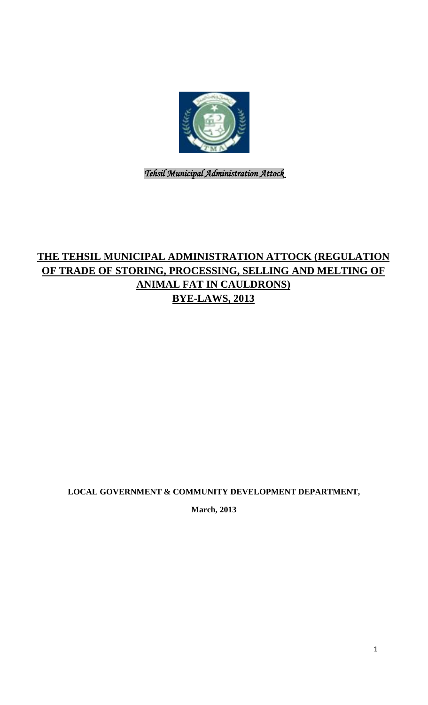

*Tehsil Municipal Administration Attock* 

# **THE TEHSIL MUNICIPAL ADMINISTRATION ATTOCK (REGULATION OF TRADE OF STORING, PROCESSING, SELLING AND MELTING OF ANIMAL FAT IN CAULDRONS) BYE-LAWS, 2013**

**LOCAL GOVERNMENT & COMMUNITY DEVELOPMENT DEPARTMENT,**

**March, 2013**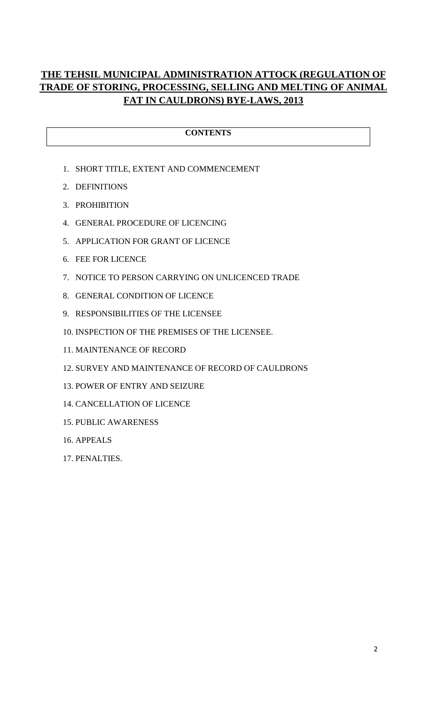# **THE TEHSIL MUNICIPAL ADMINISTRATION ATTOCK (REGULATION OF TRADE OF STORING, PROCESSING, SELLING AND MELTING OF ANIMAL FAT IN CAULDRONS) BYE-LAWS, 2013**

### **CONTENTS**

- 1. SHORT TITLE, EXTENT AND COMMENCEMENT
- 2. DEFINITIONS
- 3. PROHIBITION
- 4. GENERAL PROCEDURE OF LICENCING
- 5. APPLICATION FOR GRANT OF LICENCE
- 6. FEE FOR LICENCE
- 7. NOTICE TO PERSON CARRYING ON UNLICENCED TRADE
- 8. GENERAL CONDITION OF LICENCE
- 9. RESPONSIBILITIES OF THE LICENSEE
- 10. INSPECTION OF THE PREMISES OF THE LICENSEE.
- 11. MAINTENANCE OF RECORD
- 12. SURVEY AND MAINTENANCE OF RECORD OF CAULDRONS
- 13. POWER OF ENTRY AND SEIZURE
- 14. CANCELLATION OF LICENCE
- 15. PUBLIC AWARENESS
- 16. APPEALS
- 17. PENALTIES.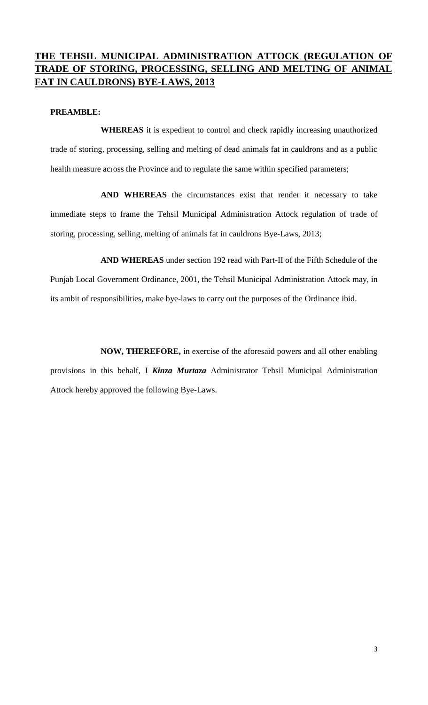# **THE TEHSIL MUNICIPAL ADMINISTRATION ATTOCK (REGULATION OF TRADE OF STORING, PROCESSING, SELLING AND MELTING OF ANIMAL FAT IN CAULDRONS) BYE-LAWS, 2013**

#### **PREAMBLE:**

**WHEREAS** it is expedient to control and check rapidly increasing unauthorized trade of storing, processing, selling and melting of dead animals fat in cauldrons and as a public health measure across the Province and to regulate the same within specified parameters;

**AND WHEREAS** the circumstances exist that render it necessary to take immediate steps to frame the Tehsil Municipal Administration Attock regulation of trade of storing, processing, selling, melting of animals fat in cauldrons Bye-Laws, 2013;

**AND WHEREAS** under section 192 read with Part-II of the Fifth Schedule of the Punjab Local Government Ordinance, 2001, the Tehsil Municipal Administration Attock may, in its ambit of responsibilities, make bye-laws to carry out the purposes of the Ordinance ibid.

**NOW, THEREFORE,** in exercise of the aforesaid powers and all other enabling provisions in this behalf, I *Kinza Murtaza* Administrator Tehsil Municipal Administration Attock hereby approved the following Bye-Laws.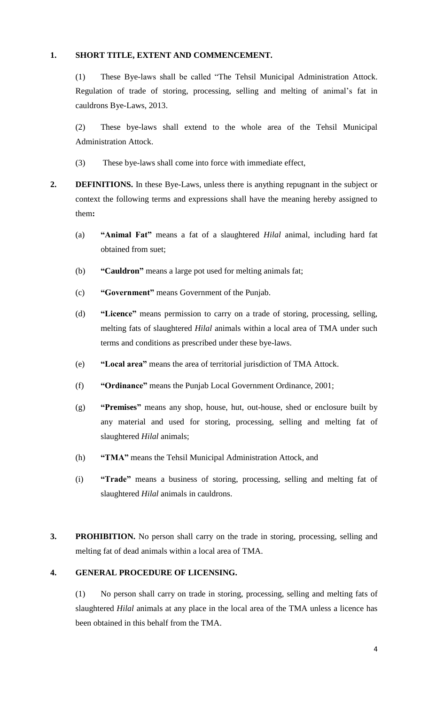#### **1. SHORT TITLE, EXTENT AND COMMENCEMENT.**

(1) These Bye-laws shall be called "The Tehsil Municipal Administration Attock. Regulation of trade of storing, processing, selling and melting of animal's fat in cauldrons Bye-Laws, 2013.

(2) These bye-laws shall extend to the whole area of the Tehsil Municipal Administration Attock.

(3) These bye-laws shall come into force with immediate effect,

- **2. DEFINITIONS.** In these Bye-Laws, unless there is anything repugnant in the subject or context the following terms and expressions shall have the meaning hereby assigned to them**:**
	- (a) **"Animal Fat"** means a fat of a slaughtered *Hilal* animal, including hard fat obtained from suet;
	- (b) **"Cauldron"** means a large pot used for melting animals fat;
	- (c) **"Government"** means Government of the Punjab.
	- (d) **"Licence"** means permission to carry on a trade of storing, processing, selling, melting fats of slaughtered *Hilal* animals within a local area of TMA under such terms and conditions as prescribed under these bye-laws.
	- (e) **"Local area"** means the area of territorial jurisdiction of TMA Attock.
	- (f) **"Ordinance"** means the Punjab Local Government Ordinance, 2001;
	- (g) **"Premises"** means any shop, house, hut, out-house, shed or enclosure built by any material and used for storing, processing, selling and melting fat of slaughtered *Hilal* animals;
	- (h) **"TMA"** means the Tehsil Municipal Administration Attock, and
	- (i) **"Trade"** means a business of storing, processing, selling and melting fat of slaughtered *Hilal* animals in cauldrons.
- **3. PROHIBITION.** No person shall carry on the trade in storing, processing, selling and melting fat of dead animals within a local area of TMA.

### **4. GENERAL PROCEDURE OF LICENSING.**

(1) No person shall carry on trade in storing, processing, selling and melting fats of slaughtered *Hilal* animals at any place in the local area of the TMA unless a licence has been obtained in this behalf from the TMA.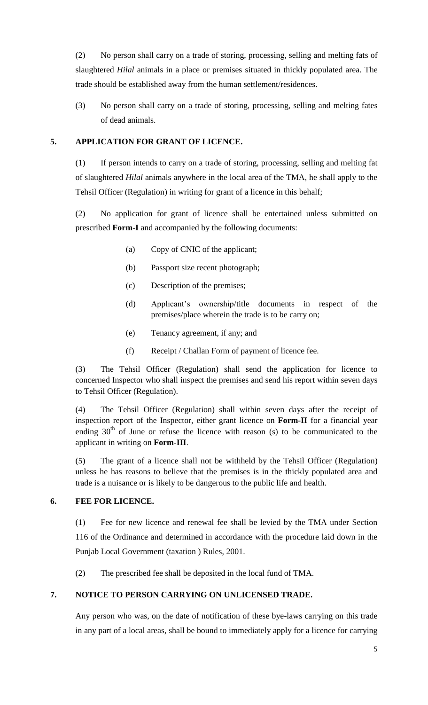(2) No person shall carry on a trade of storing, processing, selling and melting fats of slaughtered *Hilal* animals in a place or premises situated in thickly populated area. The trade should be established away from the human settlement/residences.

(3) No person shall carry on a trade of storing, processing, selling and melting fates of dead animals.

### **5. APPLICATION FOR GRANT OF LICENCE.**

(1) If person intends to carry on a trade of storing, processing, selling and melting fat of slaughtered *Hilal* animals anywhere in the local area of the TMA, he shall apply to the Tehsil Officer (Regulation) in writing for grant of a licence in this behalf;

(2) No application for grant of licence shall be entertained unless submitted on prescribed **Form-I** and accompanied by the following documents:

- (a) Copy of CNIC of the applicant;
- (b) Passport size recent photograph;
- (c) Description of the premises;
- (d) Applicant's ownership/title documents in respect of the premises/place wherein the trade is to be carry on;
- (e) Tenancy agreement, if any; and
- (f) Receipt / Challan Form of payment of licence fee.

(3) The Tehsil Officer (Regulation) shall send the application for licence to concerned Inspector who shall inspect the premises and send his report within seven days to Tehsil Officer (Regulation).

(4) The Tehsil Officer (Regulation) shall within seven days after the receipt of inspection report of the Inspector, either grant licence on **Form-II** for a financial year ending  $30<sup>th</sup>$  of June or refuse the licence with reason (s) to be communicated to the applicant in writing on **Form-III**.

(5) The grant of a licence shall not be withheld by the Tehsil Officer (Regulation) unless he has reasons to believe that the premises is in the thickly populated area and trade is a nuisance or is likely to be dangerous to the public life and health.

### **6. FEE FOR LICENCE.**

(1) Fee for new licence and renewal fee shall be levied by the TMA under Section 116 of the Ordinance and determined in accordance with the procedure laid down in the Punjab Local Government (taxation ) Rules, 2001.

(2) The prescribed fee shall be deposited in the local fund of TMA.

### **7. NOTICE TO PERSON CARRYING ON UNLICENSED TRADE.**

Any person who was, on the date of notification of these bye-laws carrying on this trade in any part of a local areas, shall be bound to immediately apply for a licence for carrying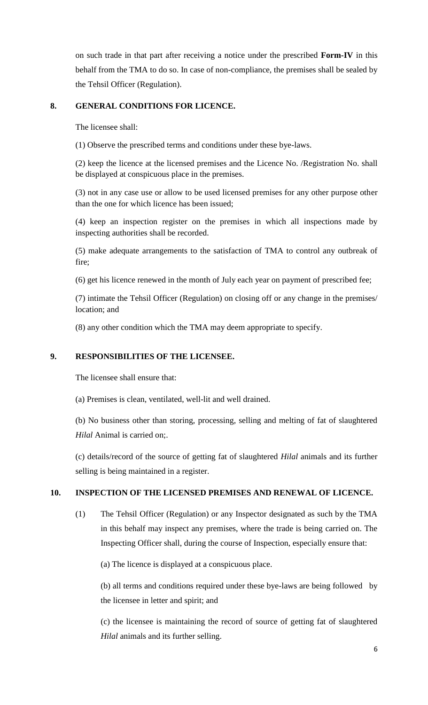on such trade in that part after receiving a notice under the prescribed **Form-IV** in this behalf from the TMA to do so. In case of non-compliance, the premises shall be sealed by the Tehsil Officer (Regulation).

#### **8. GENERAL CONDITIONS FOR LICENCE.**

The licensee shall:

(1) Observe the prescribed terms and conditions under these bye-laws.

(2) keep the licence at the licensed premises and the Licence No. /Registration No. shall be displayed at conspicuous place in the premises.

(3) not in any case use or allow to be used licensed premises for any other purpose other than the one for which licence has been issued;

(4) keep an inspection register on the premises in which all inspections made by inspecting authorities shall be recorded.

(5) make adequate arrangements to the satisfaction of TMA to control any outbreak of fire;

(6) get his licence renewed in the month of July each year on payment of prescribed fee;

(7) intimate the Tehsil Officer (Regulation) on closing off or any change in the premises/ location; and

(8) any other condition which the TMA may deem appropriate to specify.

#### **9. RESPONSIBILITIES OF THE LICENSEE.**

The licensee shall ensure that:

(a) Premises is clean, ventilated, well-lit and well drained.

(b) No business other than storing, processing, selling and melting of fat of slaughtered *Hilal* Animal is carried on;.

(c) details/record of the source of getting fat of slaughtered *Hilal* animals and its further selling is being maintained in a register.

### **10. INSPECTION OF THE LICENSED PREMISES AND RENEWAL OF LICENCE.**

(1) The Tehsil Officer (Regulation) or any Inspector designated as such by the TMA in this behalf may inspect any premises, where the trade is being carried on. The Inspecting Officer shall, during the course of Inspection, especially ensure that:

(a) The licence is displayed at a conspicuous place.

(b) all terms and conditions required under these bye-laws are being followed by the licensee in letter and spirit; and

(c) the licensee is maintaining the record of source of getting fat of slaughtered *Hilal* animals and its further selling.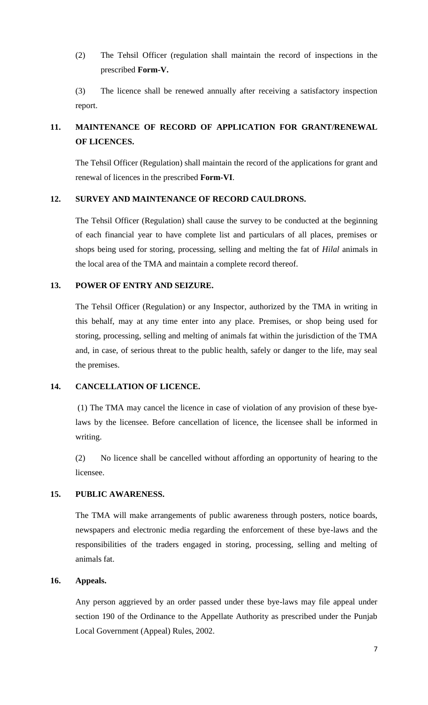(2) The Tehsil Officer (regulation shall maintain the record of inspections in the prescribed **Form-V.**

(3) The licence shall be renewed annually after receiving a satisfactory inspection report.

# **11. MAINTENANCE OF RECORD OF APPLICATION FOR GRANT/RENEWAL OF LICENCES.**

The Tehsil Officer (Regulation) shall maintain the record of the applications for grant and renewal of licences in the prescribed **Form-VI**.

#### **12. SURVEY AND MAINTENANCE OF RECORD CAULDRONS.**

The Tehsil Officer (Regulation) shall cause the survey to be conducted at the beginning of each financial year to have complete list and particulars of all places, premises or shops being used for storing, processing, selling and melting the fat of *Hilal* animals in the local area of the TMA and maintain a complete record thereof.

#### **13. POWER OF ENTRY AND SEIZURE.**

The Tehsil Officer (Regulation) or any Inspector, authorized by the TMA in writing in this behalf, may at any time enter into any place. Premises, or shop being used for storing, processing, selling and melting of animals fat within the jurisdiction of the TMA and, in case, of serious threat to the public health, safely or danger to the life, may seal the premises.

#### **14. CANCELLATION OF LICENCE.**

(1) The TMA may cancel the licence in case of violation of any provision of these byelaws by the licensee. Before cancellation of licence, the licensee shall be informed in writing.

(2) No licence shall be cancelled without affording an opportunity of hearing to the licensee.

#### **15. PUBLIC AWARENESS.**

The TMA will make arrangements of public awareness through posters, notice boards, newspapers and electronic media regarding the enforcement of these bye-laws and the responsibilities of the traders engaged in storing, processing, selling and melting of animals fat.

#### **16. Appeals.**

Any person aggrieved by an order passed under these bye-laws may file appeal under section 190 of the Ordinance to the Appellate Authority as prescribed under the Punjab Local Government (Appeal) Rules, 2002.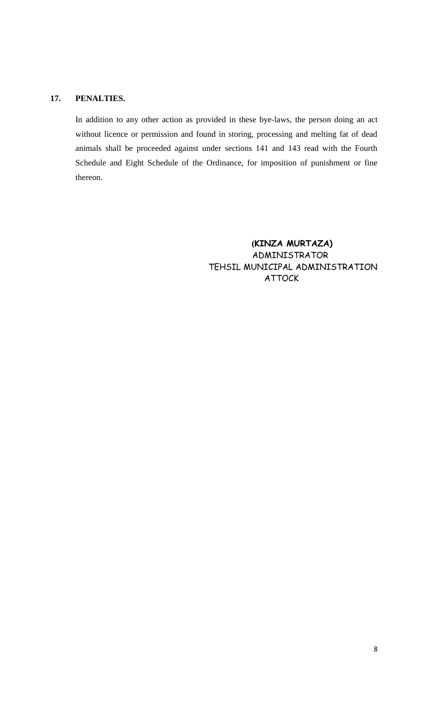#### **17. PENALTIES.**

In addition to any other action as provided in these bye-laws, the person doing an act without licence or permission and found in storing, processing and melting fat of dead animals shall be proceeded against under sections 141 and 143 read with the Fourth Schedule and Eight Schedule of the Ordinance, for imposition of punishment or fine thereon.

> **(KINZA MURTAZA)** ADMINISTRATOR TEHSIL MUNICIPAL ADMINISTRATION ATTOCK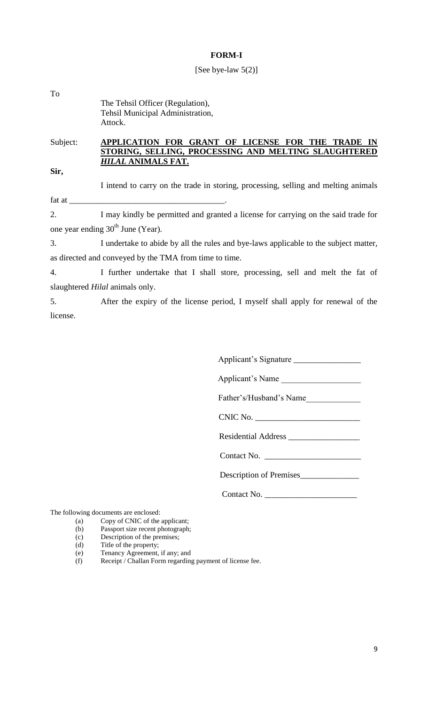#### **FORM-I**

#### [See bye-law 5(2)]

| To |                                                                      |
|----|----------------------------------------------------------------------|
|    | The Tehsil Officer (Regulation),<br>Tehsil Municipal Administration, |
|    | Attock.                                                              |

#### Subject: **APPLICATION FOR GRANT OF LICENSE FOR THE TRADE IN STORING, SELLING, PROCESSING AND MELTING SLAUGHTERED**  *HILAL* **ANIMALS FAT.**

**Sir,**

I intend to carry on the trade in storing, processing, selling and melting animals fat at  $\equiv$ 

2. I may kindly be permitted and granted a license for carrying on the said trade for one year ending  $30<sup>th</sup>$  June (Year).

3. I undertake to abide by all the rules and bye-laws applicable to the subject matter, as directed and conveyed by the TMA from time to time.

4. I further undertake that I shall store, processing, sell and melt the fat of slaughtered *Hilal* animals only.

5. After the expiry of the license period, I myself shall apply for renewal of the license.

Applicant's Signature \_\_\_\_\_\_\_\_\_\_\_\_\_\_\_\_

Applicant's Name

Father's/Husband's Name

CNIC No. \_\_\_\_\_\_\_\_\_\_\_\_\_\_\_\_\_\_\_\_\_\_\_\_\_

Residential Address \_\_\_\_\_\_\_\_\_\_\_\_\_\_\_\_\_

Contact No.

Description of Premises\_\_\_\_\_\_\_\_\_\_\_\_\_\_

Contact No. \_\_\_\_\_\_\_\_\_\_\_\_\_\_\_\_\_\_\_\_\_\_

The following documents are enclosed:

- (a) Copy of CNIC of the applicant;
- (b) Passport size recent photograph;
- (c) Description of the premises;
- (d) Title of the property;
- (e) Tenancy Agreement, if any; and
- (f) Receipt / Challan Form regarding payment of license fee.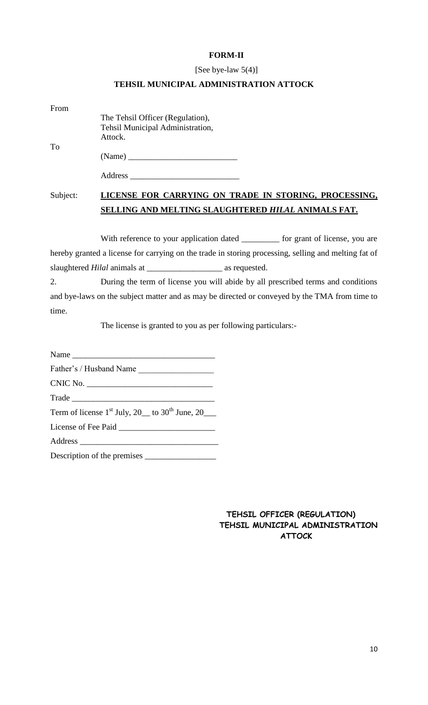#### **FORM-II**

#### [See bye-law 5(4)]

### **TEHSIL MUNICIPAL ADMINISTRATION ATTOCK**

| From |                                  |
|------|----------------------------------|
|      | The Tehsil Officer (Regulation), |
|      | Tehsil Municipal Administration, |
|      | Attock.                          |
| To   |                                  |

(Name) \_\_\_\_\_\_\_\_\_\_\_\_\_\_\_\_\_\_\_\_\_\_\_\_\_\_

# Subject: **LICENSE FOR CARRYING ON TRADE IN STORING, PROCESSING, SELLING AND MELTING SLAUGHTERED** *HILAL* **ANIMALS FAT.**

With reference to your application dated \_\_\_\_\_\_\_\_\_ for grant of license, you are hereby granted a license for carrying on the trade in storing processing, selling and melting fat of slaughtered *Hilal* animals at \_\_\_\_\_\_\_\_\_\_\_\_\_\_\_\_\_\_ as requested.

2. During the term of license you will abide by all prescribed terms and conditions and bye-laws on the subject matter and as may be directed or conveyed by the TMA from time to time.

The license is granted to you as per following particulars:-

Name  $\_\_\_\_\_\$ Father's / Husband Name CNIC No. Trade \_\_\_\_\_\_\_\_\_\_\_\_\_\_\_\_\_\_\_\_\_\_\_\_\_\_\_\_\_\_\_\_\_\_ Term of license  $1<sup>st</sup>$  July, 20  $\_\_$  to 30<sup>th</sup> June, 20  $\_\_$ License of Fee Paid \_\_\_\_\_\_\_\_\_\_\_\_\_\_\_\_\_\_\_\_\_\_\_ Address \_\_\_\_\_\_\_\_\_\_\_\_\_\_\_\_\_\_\_\_\_\_\_\_\_\_\_\_\_\_\_\_\_ Description of the premises \_\_\_\_\_\_\_\_\_\_\_\_\_\_\_\_\_

> **TEHSIL OFFICER (REGULATION) TEHSIL MUNICIPAL ADMINISTRATION ATTOCK**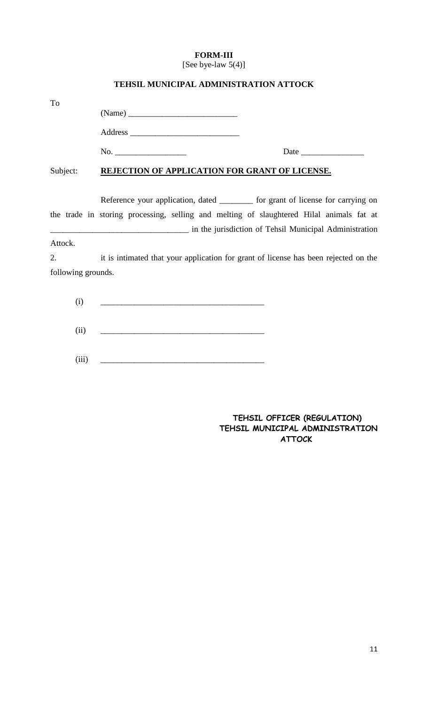# **FORM-III**

[See bye-law 5(4)]

| To                 |                                                                                          |  |
|--------------------|------------------------------------------------------------------------------------------|--|
|                    |                                                                                          |  |
|                    |                                                                                          |  |
|                    |                                                                                          |  |
| Subject:           | REJECTION OF APPLICATION FOR GRANT OF LICENSE.                                           |  |
|                    | Reference your application, dated _________ for grant of license for carrying on         |  |
|                    | the trade in storing processing, selling and melting of slaughtered Hilal animals fat at |  |
|                    | in the jurisdiction of Tehsil Municipal Administration                                   |  |
| Attock.            |                                                                                          |  |
| 2.                 | it is intimated that your application for grant of license has been rejected on the      |  |
| following grounds. |                                                                                          |  |
| (i)                |                                                                                          |  |
| (ii)               |                                                                                          |  |
| (iii)              |                                                                                          |  |

### **TEHSIL MUNICIPAL ADMINISTRATION ATTOCK**

### **TEHSIL OFFICER (REGULATION) TEHSIL MUNICIPAL ADMINISTRATION ATTOCK**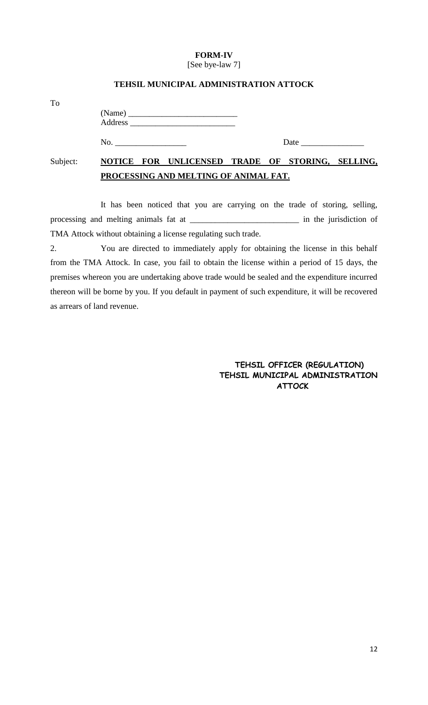# **FORM-IV**

[See bye-law 7]

|          | PROCESSING AND MELTING OF ANIMAL FAT. |                                                  |  |  |      |  |  |
|----------|---------------------------------------|--------------------------------------------------|--|--|------|--|--|
| Subject: |                                       | NOTICE FOR UNLICENSED TRADE OF STORING, SELLING, |  |  |      |  |  |
|          | No. $\qquad \qquad$                   |                                                  |  |  | Date |  |  |
|          |                                       |                                                  |  |  |      |  |  |
| To       |                                       |                                                  |  |  |      |  |  |

#### **TEHSIL MUNICIPAL ADMINISTRATION ATTOCK**

It has been noticed that you are carrying on the trade of storing, selling, processing and melting animals fat at \_\_\_\_\_\_\_\_\_\_\_\_\_\_\_\_\_\_\_\_\_\_\_\_\_\_ in the jurisdiction of TMA Attock without obtaining a license regulating such trade.

2. You are directed to immediately apply for obtaining the license in this behalf from the TMA Attock. In case, you fail to obtain the license within a period of 15 days, the premises whereon you are undertaking above trade would be sealed and the expenditure incurred thereon will be borne by you. If you default in payment of such expenditure, it will be recovered as arrears of land revenue.

> **TEHSIL OFFICER (REGULATION) TEHSIL MUNICIPAL ADMINISTRATION ATTOCK**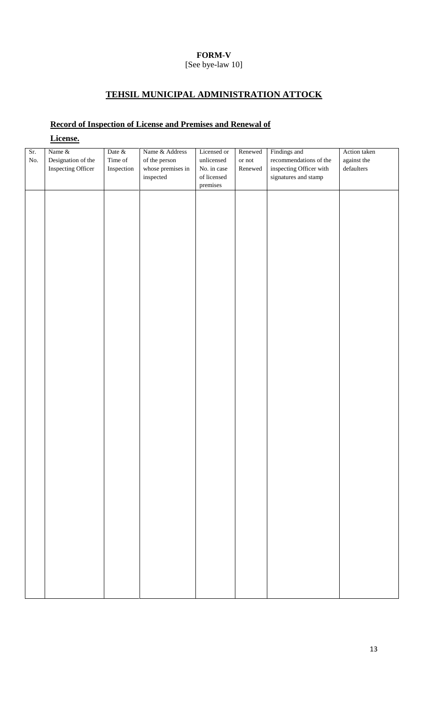## **FORM-V**

# **TEHSIL MUNICIPAL ADMINISTRATION ATTOCK**

# **Record of Inspection of License and Premises and Renewal of**

|            | License.                     |                   |                                 |                           |                                  |                                        |                             |
|------------|------------------------------|-------------------|---------------------------------|---------------------------|----------------------------------|----------------------------------------|-----------------------------|
| Sr.<br>No. | Name &<br>Designation of the | Date &<br>Time of | Name & Address<br>of the person | Licensed or<br>unlicensed | Renewed<br>$\quad$ or $\rm{not}$ | Findings and<br>recommendations of the | Action taken<br>against the |
|            | Inspecting Officer           | Inspection        | whose premises in               | No. in case               | Renewed                          | inspecting Officer with                | $\operatorname{defaulters}$ |
|            |                              |                   | $\!$ inspected                  | of licensed               |                                  | signatures and stamp                   |                             |
|            |                              |                   |                                 | premises                  |                                  |                                        |                             |
|            |                              |                   |                                 |                           |                                  |                                        |                             |
|            |                              |                   |                                 |                           |                                  |                                        |                             |
|            |                              |                   |                                 |                           |                                  |                                        |                             |
|            |                              |                   |                                 |                           |                                  |                                        |                             |
|            |                              |                   |                                 |                           |                                  |                                        |                             |
|            |                              |                   |                                 |                           |                                  |                                        |                             |
|            |                              |                   |                                 |                           |                                  |                                        |                             |
|            |                              |                   |                                 |                           |                                  |                                        |                             |
|            |                              |                   |                                 |                           |                                  |                                        |                             |
|            |                              |                   |                                 |                           |                                  |                                        |                             |
|            |                              |                   |                                 |                           |                                  |                                        |                             |
|            |                              |                   |                                 |                           |                                  |                                        |                             |
|            |                              |                   |                                 |                           |                                  |                                        |                             |
|            |                              |                   |                                 |                           |                                  |                                        |                             |
|            |                              |                   |                                 |                           |                                  |                                        |                             |
|            |                              |                   |                                 |                           |                                  |                                        |                             |
|            |                              |                   |                                 |                           |                                  |                                        |                             |
|            |                              |                   |                                 |                           |                                  |                                        |                             |
|            |                              |                   |                                 |                           |                                  |                                        |                             |
|            |                              |                   |                                 |                           |                                  |                                        |                             |
|            |                              |                   |                                 |                           |                                  |                                        |                             |
|            |                              |                   |                                 |                           |                                  |                                        |                             |
|            |                              |                   |                                 |                           |                                  |                                        |                             |
|            |                              |                   |                                 |                           |                                  |                                        |                             |
|            |                              |                   |                                 |                           |                                  |                                        |                             |
|            |                              |                   |                                 |                           |                                  |                                        |                             |
|            |                              |                   |                                 |                           |                                  |                                        |                             |
|            |                              |                   |                                 |                           |                                  |                                        |                             |
|            |                              |                   |                                 |                           |                                  |                                        |                             |
|            |                              |                   |                                 |                           |                                  |                                        |                             |
|            |                              |                   |                                 |                           |                                  |                                        |                             |
|            |                              |                   |                                 |                           |                                  |                                        |                             |
|            |                              |                   |                                 |                           |                                  |                                        |                             |
|            |                              |                   |                                 |                           |                                  |                                        |                             |
|            |                              |                   |                                 |                           |                                  |                                        |                             |
|            |                              |                   |                                 |                           |                                  |                                        |                             |
|            |                              |                   |                                 |                           |                                  |                                        |                             |
|            |                              |                   |                                 |                           |                                  |                                        |                             |